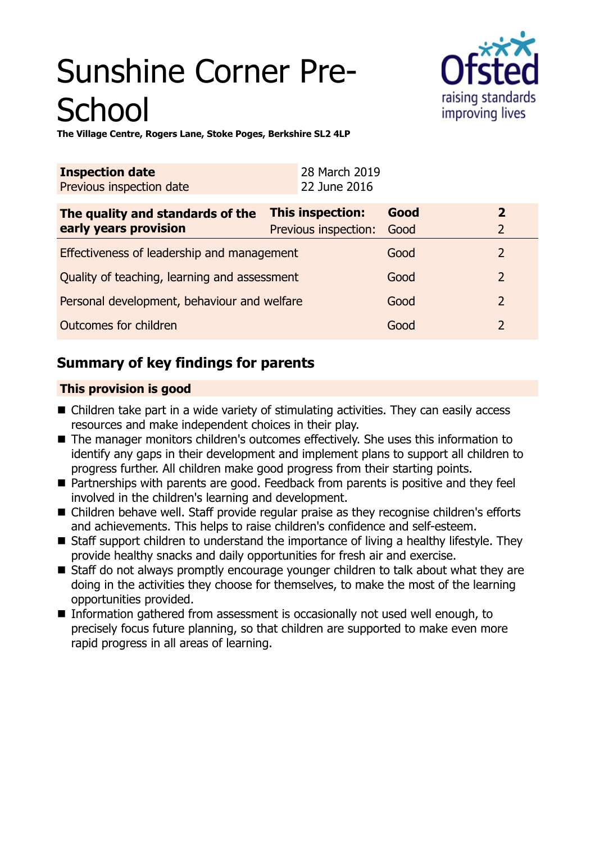# Sunshine Corner Pre-**School**



**The Village Centre, Rogers Lane, Stoke Poges, Berkshire SL2 4LP**

| <b>Inspection date</b><br>Previous inspection date        | 28 March 2019<br>22 June 2016            |              |                                  |
|-----------------------------------------------------------|------------------------------------------|--------------|----------------------------------|
| The quality and standards of the<br>early years provision | This inspection:<br>Previous inspection: | Good<br>Good | $\overline{2}$<br>$\overline{2}$ |
| Effectiveness of leadership and management                |                                          | Good         |                                  |
| Quality of teaching, learning and assessment              |                                          | Good         | $\overline{2}$                   |
| Personal development, behaviour and welfare               |                                          | Good         | 2                                |
| Outcomes for children                                     |                                          | Good         | 2                                |

## **Summary of key findings for parents**

## **This provision is good**

- $\blacksquare$  Children take part in a wide variety of stimulating activities. They can easily access resources and make independent choices in their play.
- The manager monitors children's outcomes effectively. She uses this information to identify any gaps in their development and implement plans to support all children to progress further. All children make good progress from their starting points.
- Partnerships with parents are good. Feedback from parents is positive and they feel involved in the children's learning and development.
- Children behave well. Staff provide regular praise as they recognise children's efforts and achievements. This helps to raise children's confidence and self-esteem.
- Staff support children to understand the importance of living a healthy lifestyle. They provide healthy snacks and daily opportunities for fresh air and exercise.
- Staff do not always promptly encourage younger children to talk about what they are doing in the activities they choose for themselves, to make the most of the learning opportunities provided.
- Information gathered from assessment is occasionally not used well enough, to precisely focus future planning, so that children are supported to make even more rapid progress in all areas of learning.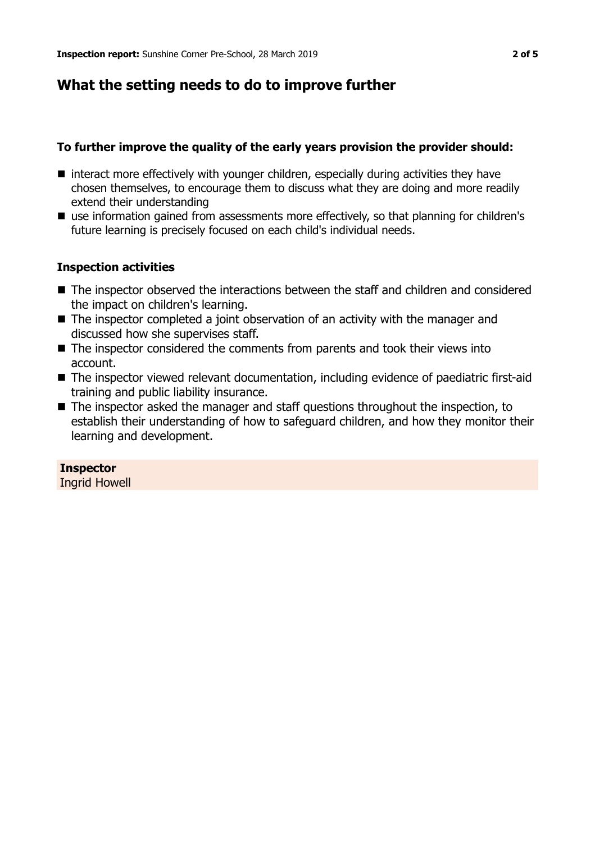## **What the setting needs to do to improve further**

## **To further improve the quality of the early years provision the provider should:**

- $\blacksquare$  interact more effectively with younger children, especially during activities they have chosen themselves, to encourage them to discuss what they are doing and more readily extend their understanding
- $\blacksquare$  use information gained from assessments more effectively, so that planning for children's future learning is precisely focused on each child's individual needs.

## **Inspection activities**

- The inspector observed the interactions between the staff and children and considered the impact on children's learning.
- $\blacksquare$  The inspector completed a joint observation of an activity with the manager and discussed how she supervises staff.
- $\blacksquare$  The inspector considered the comments from parents and took their views into account.
- The inspector viewed relevant documentation, including evidence of paediatric first-aid training and public liability insurance.
- $\blacksquare$  The inspector asked the manager and staff questions throughout the inspection, to establish their understanding of how to safeguard children, and how they monitor their learning and development.

## **Inspector**

Ingrid Howell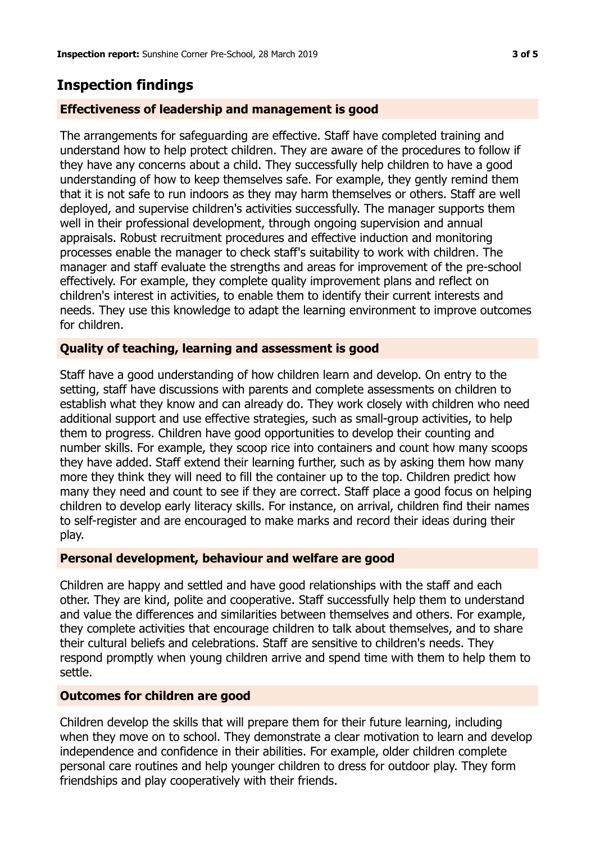## **Inspection findings**

#### **Effectiveness of leadership and management is good**

The arrangements for safeguarding are effective. Staff have completed training and understand how to help protect children. They are aware of the procedures to follow if they have any concerns about a child. They successfully help children to have a good understanding of how to keep themselves safe. For example, they gently remind them that it is not safe to run indoors as they may harm themselves or others. Staff are well deployed, and supervise children's activities successfully. The manager supports them well in their professional development, through ongoing supervision and annual appraisals. Robust recruitment procedures and effective induction and monitoring processes enable the manager to check staff's suitability to work with children. The manager and staff evaluate the strengths and areas for improvement of the pre-school effectively. For example, they complete quality improvement plans and reflect on children's interest in activities, to enable them to identify their current interests and needs. They use this knowledge to adapt the learning environment to improve outcomes for children.

#### **Quality of teaching, learning and assessment is good**

Staff have a good understanding of how children learn and develop. On entry to the setting, staff have discussions with parents and complete assessments on children to establish what they know and can already do. They work closely with children who need additional support and use effective strategies, such as small-group activities, to help them to progress. Children have good opportunities to develop their counting and number skills. For example, they scoop rice into containers and count how many scoops they have added. Staff extend their learning further, such as by asking them how many more they think they will need to fill the container up to the top. Children predict how many they need and count to see if they are correct. Staff place a good focus on helping children to develop early literacy skills. For instance, on arrival, children find their names to self-register and are encouraged to make marks and record their ideas during their play.

#### **Personal development, behaviour and welfare are good**

Children are happy and settled and have good relationships with the staff and each other. They are kind, polite and cooperative. Staff successfully help them to understand and value the differences and similarities between themselves and others. For example, they complete activities that encourage children to talk about themselves, and to share their cultural beliefs and celebrations. Staff are sensitive to children's needs. They respond promptly when young children arrive and spend time with them to help them to settle.

#### **Outcomes for children are good**

Children develop the skills that will prepare them for their future learning, including when they move on to school. They demonstrate a clear motivation to learn and develop independence and confidence in their abilities. For example, older children complete personal care routines and help younger children to dress for outdoor play. They form friendships and play cooperatively with their friends.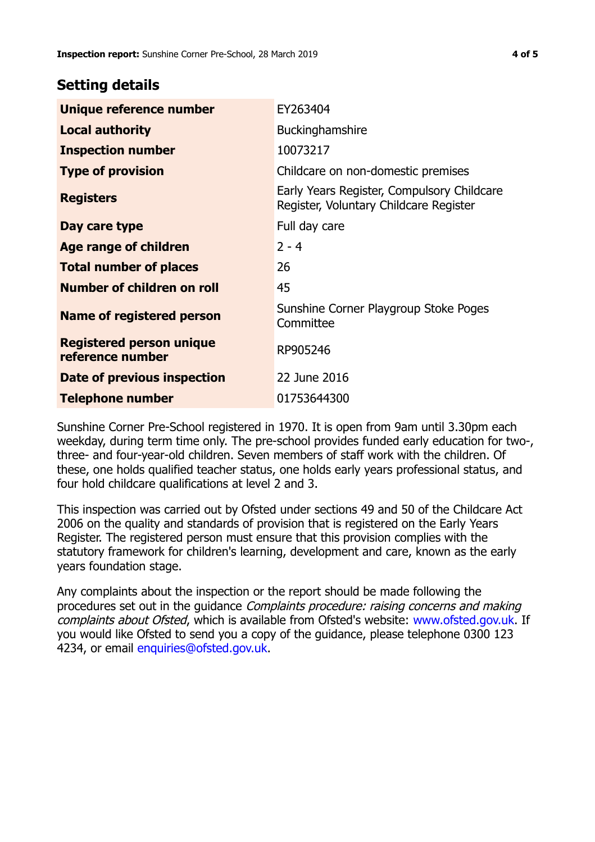## **Setting details**

| Unique reference number                             | EY263404                                                                             |  |
|-----------------------------------------------------|--------------------------------------------------------------------------------------|--|
| <b>Local authority</b>                              | <b>Buckinghamshire</b>                                                               |  |
| <b>Inspection number</b>                            | 10073217                                                                             |  |
| <b>Type of provision</b>                            | Childcare on non-domestic premises                                                   |  |
| <b>Registers</b>                                    | Early Years Register, Compulsory Childcare<br>Register, Voluntary Childcare Register |  |
| Day care type                                       | Full day care                                                                        |  |
| <b>Age range of children</b>                        | $2 - 4$                                                                              |  |
| <b>Total number of places</b>                       | 26                                                                                   |  |
| Number of children on roll                          | 45                                                                                   |  |
| <b>Name of registered person</b>                    | Sunshine Corner Playgroup Stoke Poges<br>Committee                                   |  |
| <b>Registered person unique</b><br>reference number | RP905246                                                                             |  |
| <b>Date of previous inspection</b>                  | 22 June 2016                                                                         |  |
| <b>Telephone number</b>                             | 01753644300                                                                          |  |

Sunshine Corner Pre-School registered in 1970. It is open from 9am until 3.30pm each weekday, during term time only. The pre-school provides funded early education for two-, three- and four-year-old children. Seven members of staff work with the children. Of these, one holds qualified teacher status, one holds early years professional status, and four hold childcare qualifications at level 2 and 3.

This inspection was carried out by Ofsted under sections 49 and 50 of the Childcare Act 2006 on the quality and standards of provision that is registered on the Early Years Register. The registered person must ensure that this provision complies with the statutory framework for children's learning, development and care, known as the early years foundation stage.

Any complaints about the inspection or the report should be made following the procedures set out in the guidance Complaints procedure: raising concerns and making complaints about Ofsted, which is available from Ofsted's website: www.ofsted.gov.uk. If you would like Ofsted to send you a copy of the guidance, please telephone 0300 123 4234, or email [enquiries@ofsted.gov.uk.](mailto:enquiries@ofsted.gov.uk)